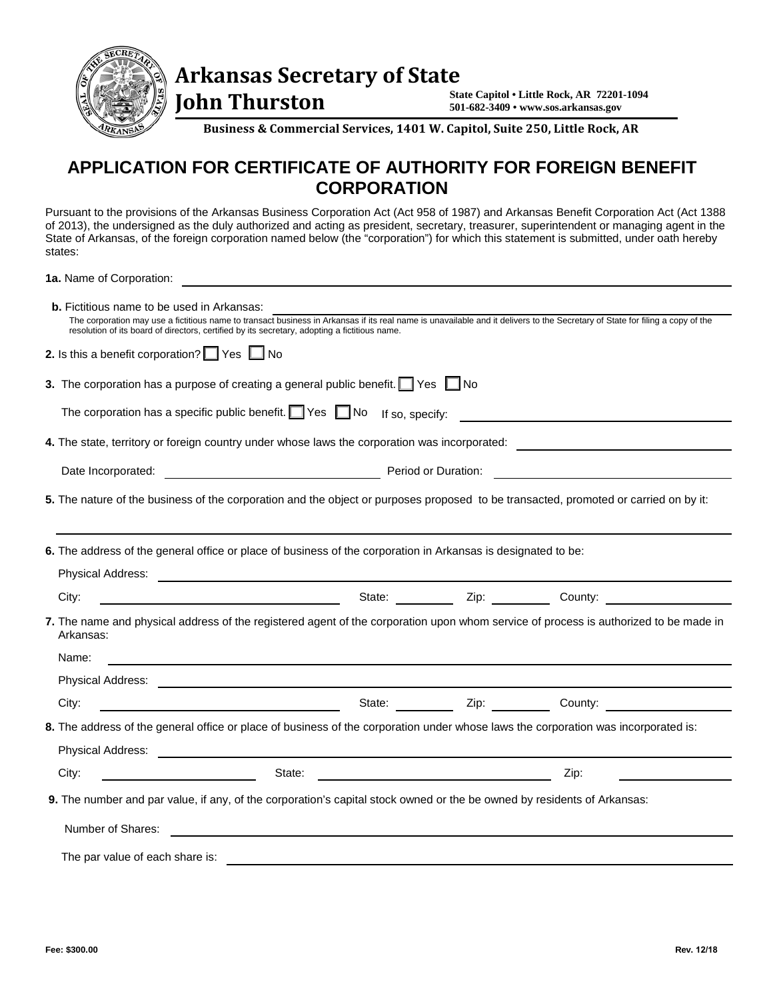

 **John Thurston** 

**State Capitol • Little Rock, AR 72201-1094 501-682-3409 • www.sos.arkansas.gov**

**Business & Commercial Services, 1401 W. Capitol, Suite 250, Little Rock, AR** 

## **APPLICATION FOR CERTIFICATE OF AUTHORITY FOR FOREIGN BENEFIT CORPORATION**

Pursuant to the provisions of the Arkansas Business Corporation Act (Act 958 of 1987) and Arkansas Benefit Corporation Act (Act 1388 of 2013), the undersigned as the duly authorized and acting as president, secretary, treasurer, superintendent or managing agent in the State of Arkansas, of the foreign corporation named below (the "corporation") for which this statement is submitted, under oath hereby states:

**1a.** Name of Corporation:

| <b>b.</b> Fictitious name to be used in Arkansas:<br>The corporation may use a fictitious name to transact business in Arkansas if its real name is unavailable and it delivers to the Secretary of State for filing a copy of the<br>resolution of its board of directors, certified by its secretary, adopting a fictitious name. |                                                                                  |      |  |
|-------------------------------------------------------------------------------------------------------------------------------------------------------------------------------------------------------------------------------------------------------------------------------------------------------------------------------------|----------------------------------------------------------------------------------|------|--|
| 2. Is this a benefit corporation? $\Box$ Yes $\Box$ No                                                                                                                                                                                                                                                                              |                                                                                  |      |  |
|                                                                                                                                                                                                                                                                                                                                     |                                                                                  |      |  |
| 3. The corporation has a purpose of creating a general public benefit. $\Box$ Yes $\Box$ No                                                                                                                                                                                                                                         |                                                                                  |      |  |
| The corporation has a specific public benefit. $\Box$ Yes $\Box$ No If so, specify:                                                                                                                                                                                                                                                 |                                                                                  |      |  |
|                                                                                                                                                                                                                                                                                                                                     |                                                                                  |      |  |
|                                                                                                                                                                                                                                                                                                                                     |                                                                                  |      |  |
| 5. The nature of the business of the corporation and the object or purposes proposed to be transacted, promoted or carried on by it:                                                                                                                                                                                                |                                                                                  |      |  |
| 6. The address of the general office or place of business of the corporation in Arkansas is designated to be:                                                                                                                                                                                                                       |                                                                                  |      |  |
| Physical Address: Note that the contract of the contract of the contract of the contract of the contract of the contract of the contract of the contract of the contract of the contract of the contract of the contract of th                                                                                                      |                                                                                  |      |  |
| County: 2001 County: 2008 County: 2008 County: 2008 County: 2008 County: 2008 County: 2008 County: 2008 County: 2008 County: 2008 County: 2008 County: 2008 County: 2008 County: 2008 County: 2008 County: 2008 County: 2008 C<br>City:                                                                                             |                                                                                  |      |  |
| 7. The name and physical address of the registered agent of the corporation upon whom service of process is authorized to be made in<br>Arkansas:                                                                                                                                                                                   |                                                                                  |      |  |
| Name:                                                                                                                                                                                                                                                                                                                               | ,我们也不会有什么。""我们的人,我们也不会有什么?""我们的人,我们也不会有什么?""我们的人,我们也不会有什么?""我们的人,我们也不会有什么?""我们的人 |      |  |
|                                                                                                                                                                                                                                                                                                                                     |                                                                                  |      |  |
| City:                                                                                                                                                                                                                                                                                                                               |                                                                                  |      |  |
| 8. The address of the general office or place of business of the corporation under whose laws the corporation was incorporated is:                                                                                                                                                                                                  |                                                                                  |      |  |
|                                                                                                                                                                                                                                                                                                                                     |                                                                                  |      |  |
|                                                                                                                                                                                                                                                                                                                                     |                                                                                  |      |  |
| <u>State: State: State: State: State: State: State: State: State: State: State: State: State: State: State: State: State: State: State: State: State: State: State: State: State: State: State: State: State: State: State: Stat</u><br>City:                                                                                       |                                                                                  | Zip: |  |
| 9. The number and par value, if any, of the corporation's capital stock owned or the be owned by residents of Arkansas:                                                                                                                                                                                                             |                                                                                  |      |  |
| Number of Shares:                                                                                                                                                                                                                                                                                                                   |                                                                                  |      |  |